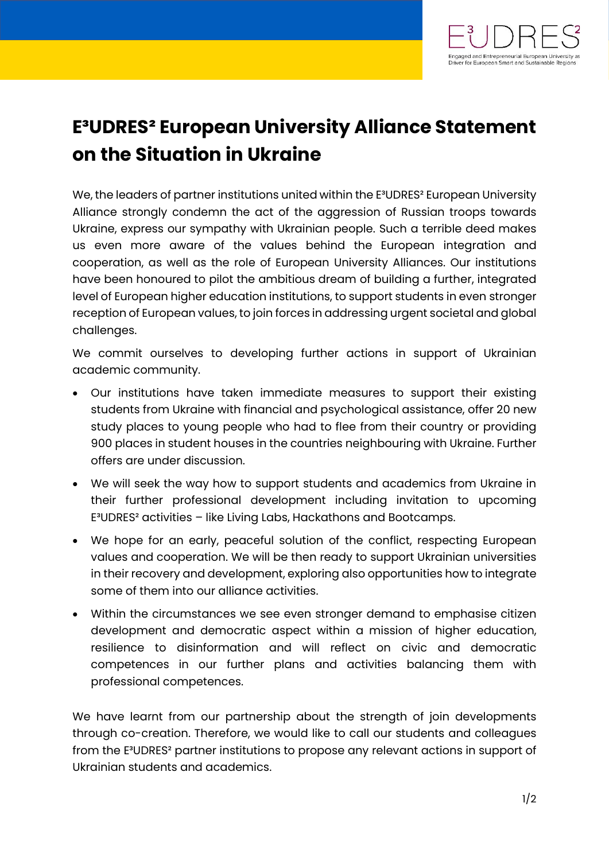

## **E³UDRES² European University Alliance Statement on the Situation in Ukraine**

We, the leaders of partner institutions united within the E<sup>3</sup>UDRES<sup>2</sup> European University Alliance strongly condemn the act of the aggression of Russian troops towards Ukraine, express our sympathy with Ukrainian people. Such a terrible deed makes us even more aware of the values behind the European integration and cooperation, as well as the role of European University Alliances. Our institutions have been honoured to pilot the ambitious dream of building a further, integrated level of European higher education institutions, to support students in even stronger reception of European values, to join forces in addressing urgent societal and global challenges.

We commit ourselves to developing further actions in support of Ukrainian academic community.

- Our institutions have taken immediate measures to support their existing students from Ukraine with financial and psychological assistance, offer 20 new study places to young people who had to flee from their country or providing 900 places in student houses in the countries neighbouring with Ukraine. Further offers are under discussion.
- We will seek the way how to support students and academics from Ukraine in their further professional development including invitation to upcoming E³UDRES² activities – like Living Labs, Hackathons and Bootcamps.
- We hope for an early, peaceful solution of the conflict, respecting European values and cooperation. We will be then ready to support Ukrainian universities in their recovery and development, exploring also opportunities how to integrate some of them into our alliance activities.
- Within the circumstances we see even stronger demand to emphasise citizen development and democratic aspect within a mission of higher education, resilience to disinformation and will reflect on civic and democratic competences in our further plans and activities balancing them with professional competences.

We have learnt from our partnership about the strength of join developments through co-creation. Therefore, we would like to call our students and colleagues from the E³UDRES² partner institutions to propose any relevant actions in support of Ukrainian students and academics.